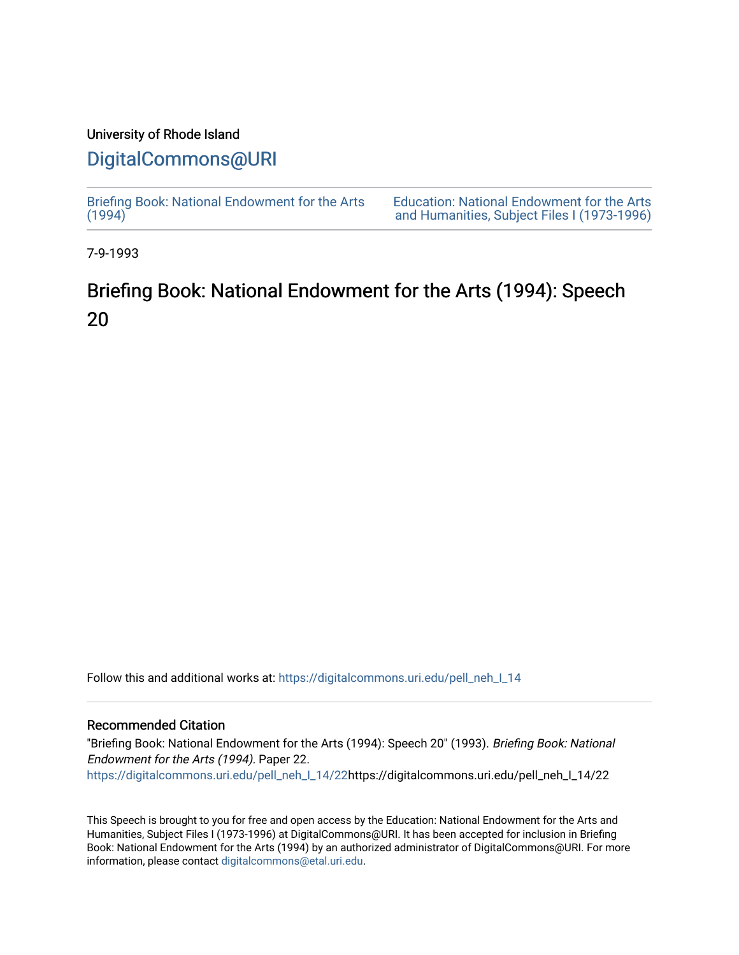## University of Rhode Island

## [DigitalCommons@URI](https://digitalcommons.uri.edu/)

[Briefing Book: National Endowment for the Arts](https://digitalcommons.uri.edu/pell_neh_I_14)  $(1994)$ [Education: National Endowment for the Arts](https://digitalcommons.uri.edu/pell_neh_I)  [and Humanities, Subject Files I \(1973-1996\)](https://digitalcommons.uri.edu/pell_neh_I) 

7-9-1993

# Briefing Book: National Endowment for the Arts (1994): Speech 20

Follow this and additional works at: [https://digitalcommons.uri.edu/pell\\_neh\\_I\\_14](https://digitalcommons.uri.edu/pell_neh_I_14?utm_source=digitalcommons.uri.edu%2Fpell_neh_I_14%2F22&utm_medium=PDF&utm_campaign=PDFCoverPages) 

## Recommended Citation

"Briefing Book: National Endowment for the Arts (1994): Speech 20" (1993). Briefing Book: National Endowment for the Arts (1994). Paper 22. [https://digitalcommons.uri.edu/pell\\_neh\\_I\\_14/22h](https://digitalcommons.uri.edu/pell_neh_I_14/22?utm_source=digitalcommons.uri.edu%2Fpell_neh_I_14%2F22&utm_medium=PDF&utm_campaign=PDFCoverPages)ttps://digitalcommons.uri.edu/pell\_neh\_I\_14/22

This Speech is brought to you for free and open access by the Education: National Endowment for the Arts and Humanities, Subject Files I (1973-1996) at DigitalCommons@URI. It has been accepted for inclusion in Briefing Book: National Endowment for the Arts (1994) by an authorized administrator of DigitalCommons@URI. For more information, please contact [digitalcommons@etal.uri.edu.](mailto:digitalcommons@etal.uri.edu)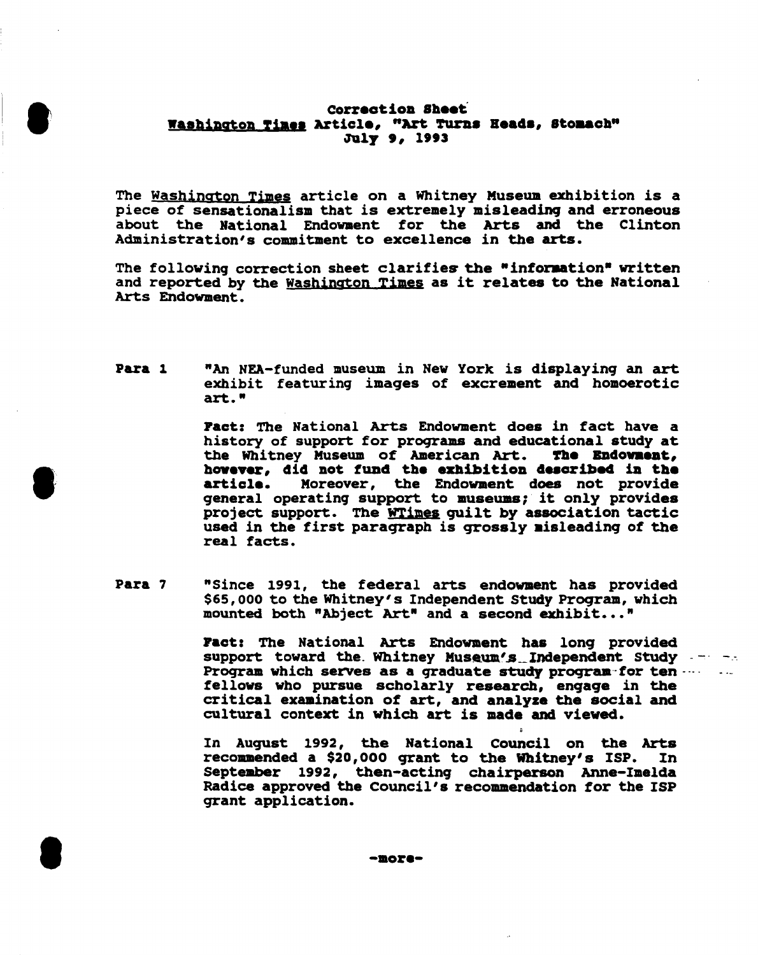### Correction Sheet Washington Times Article, "Art Turns Heads, Stomach" July 9, 1993

The Washington Times article on a Whitney Museum exhibition is a piece of sensationalism that is extremely misleading and erroneous about the National Endowment for the Arts and the Clinton Administration's commitment to excellence in the arts.

The following correction sheet clarifies the "information" written and reported by the Washington Times as it relates to the National Arts Endowment.

Para 1 "An NEA-funded museum in New York is displaying an art exhibit featuring images of excrement and homoerotic art."

> Fact: The National Arts Endowment does in fact have a history of support for programs and educational study at the Whitney Museum of American Art. The Endowment. however, did not fund the exhibition described in the Moreover, the Endowment does not provide article. general operating support to museums; it only provides project support. The WTimes guilt by association tactic used in the first paragraph is grossly misleading of the real facts.

Para 7 "Since 1991, the federal arts endowment has provided \$65,000 to the Whitney's Independent Study Program, which mounted both "Abject Art" and a second exhibit..."

> **Fact:** The National Arts Endowment has long provided support toward the Whitney Museum's Independent Study -Program which serves as a graduate study program for ten .... fellows who pursue scholarly research, engage in the critical examination of art, and analyze the social and cultural context in which art is made and viewed.

 $\blacksquare$  :

 $\sim 10^{-1}$ 

In August 1992, the National Council on the Arts recommended a \$20,000 grant to the Whitney's ISP. In September 1992, then-acting chairperson Anne-Imelda Radice approved the Council's recommendation for the ISP grant application.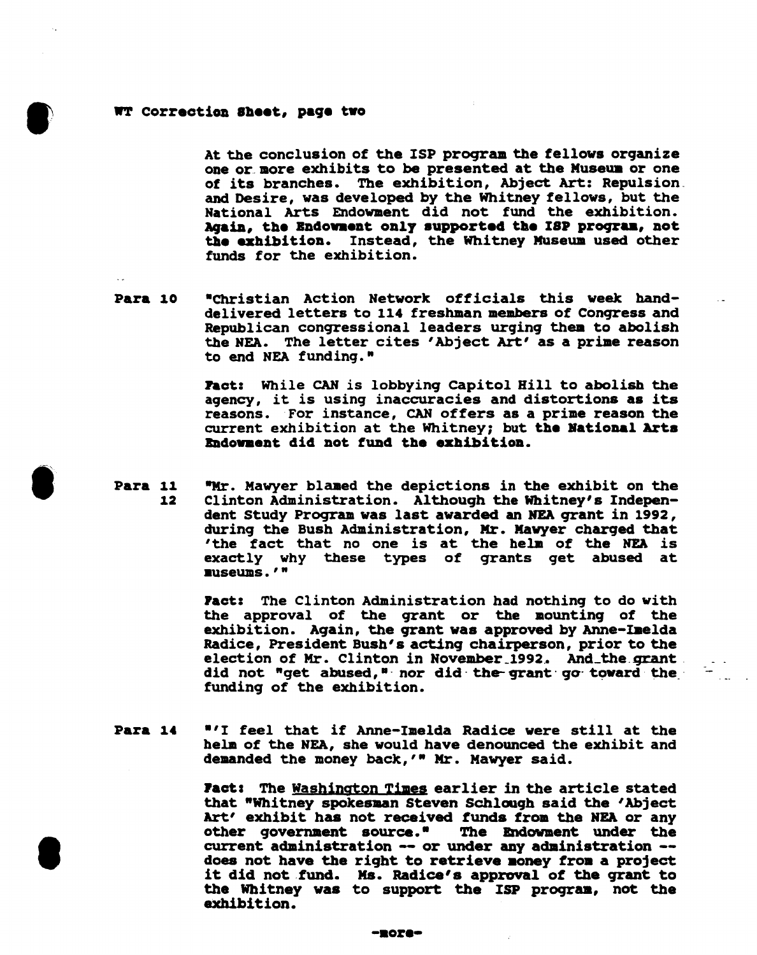#### • WT correction Sheet, page two

**•** 

I

At the conclusion of the ISP proqram the fellows organize one or. more exhibits to be presented at the Museua or one of its branches. The exhibition, Abject Art: Repulsion\_ and Desire, was developed by the Whitney fellows, but the National Arts Endowment did not fund the exhibition. Again, the Endowment only supported the ISP program, not the exhibition. Instead, the Whitney Museum used other funds for the exhibition.

Para 10 •Christian Action Network officials this week handdelivered letters to 114 freshman members of Conqress and Republican congressional leaders urging them to abolish the HEA. The letter cites 'Abject Art' as a prime reason to end NEA funding."

> Pact: While CAN is lobbying Capitol Hill to abolish the agency, it is using inaccuracies and distortions as its reasons. For instance, CAN offers as a prime reason the current exhibition at the Whitney; but the Bational Arts Bndowment did not fund the exhibition.

Para 11 12 "Mr. Mawyer blamed the depictions in the exhibit on the Clinton Administration. Although the Whitney's Independent Study Program was last awarded an NEA grant in 1992, during the Bush Administration, Mr. Mawyer charged that 'the fact that no one is at the helm of the NEA is exactly why these types of qrants get abused at •useums • ' "

> Pact: The Clinton Administration had nothing to do with the approval of the qrant or the mounting of the exhibition. Again, the grant was approved by Anne-Imelda Radice, President Bush's acting chairperson, prior to the election of Mr. Clinton in November 1992. And the grant. did not "get abused," nor did the grant go toward the funding of the exhibition.

Para 14 • <sup>1</sup> 1 feel that if Anne-Imelda Radice were still at the helm of the NEA, she would have denounced the exhibit and demanded the money back,'" Mr. Mawyer said.

> **Fact:** The Washington Times earlier in the article stated that "Whitney spokesman Steven Schlough said the 'Abject Art' exhibit has not received funds from the NEA or any other governaent source.• The Endowment under the current administration -- or under any administration --<br>does not have the right to retrieve money from a project it did not fund. Ms. Radice's approval of the grant to the Whitney was to support the ISP proqraa, not the exhibition.

#### -•ore-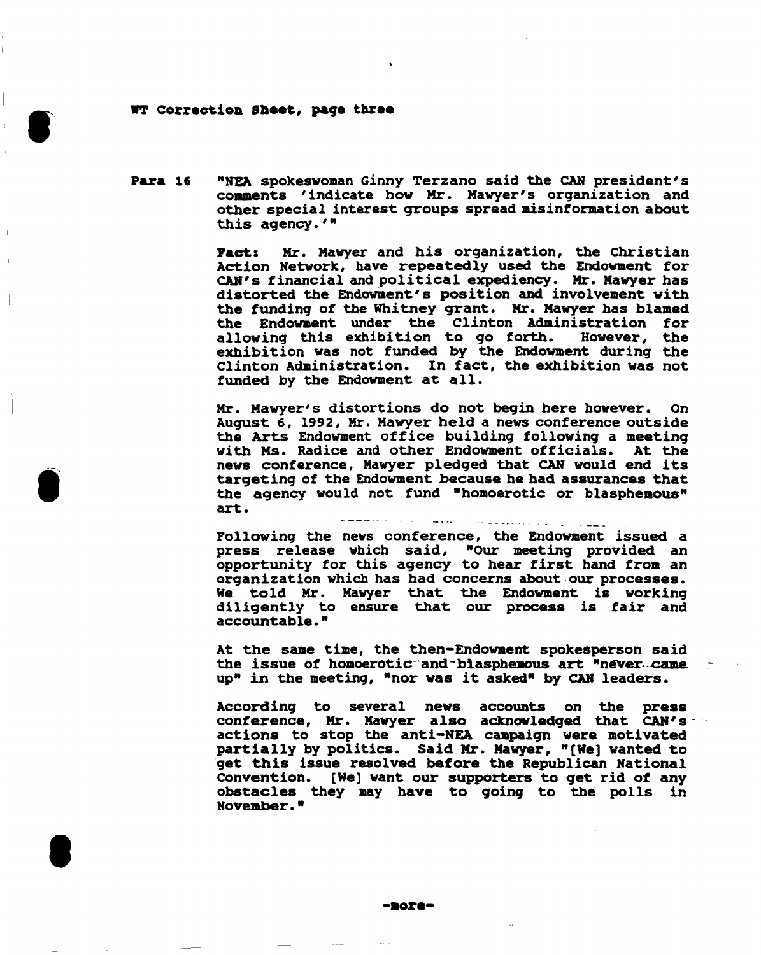#### WT Correction Sheet, page three

1,

 $\bullet$ 

I

Para 16 "NEA spokeswoman Ginny Terzano said the CAN president's comaents 'indicate how Mr. Mawyer's organization and other special interest qroups spread misinformation about this agency.'"

> Pact: Mr. Mawyer and his organization, the Christian Action Network, have repeatedly used the Endowment for CAN's financial and political expediency. Mr. Mawyer has distorted the Endowment's position and involvement with the funding of the Whitney grant. Mr. Mawyer has blamed the Endowment under the Clinton Administration for<br>allowing this exhibition to go forth. However, the allowing this exhibition to go forth. exhibition was not funded by the Endowment during the Clinton Administration. In fact, the exhibition was not funded by the Endowment at all.

> Mr. Mawyer's distortions do not beqin here however. On August 6, 1992, Mr. Mawyer held a news conference outside the Arts Endowment office building following a meeting with Ms. Radice and other Endowment officials. At the news conference, Mawyer pledged that CAN would end its targeting of the Endowment because he bad assurances that the agency would not fund "homoerotic or blasphemous" art.

> > emmentari di s

Following the news conference, the Endowment issued a press release which said, "Our meeting provided an opportunity for this agency to hear first hand from an organization which has had concerns about our processes. We told Mr. Mawyer that the Endowment is working diligently to ensure that our process is fair and accountable. "

At the same time, the then-Endowment spokesperson said the issue of homoerotic and blasphemous art "never ... came up" in the meeting, "nor was it asked" by CAN leaders.

According to several news accounts on the press conference, Mr. Mawyer also acknowledged that CAN's actions to stop the anti-NEA campaign were motivated partially by politics. Said Mr. Mawyer, "[We] wanted to get this issue resolved before the Republican National convention. [We) want our supporters to get rid of any obstacles they may have to 9oin9 to the polls in November.•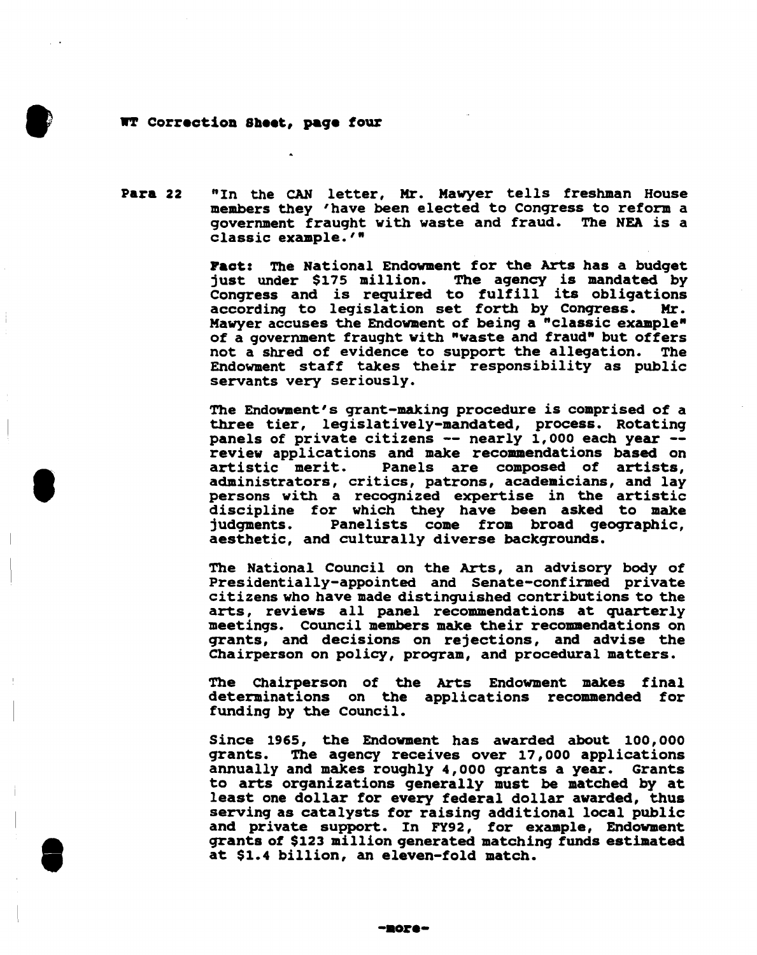#### WT Correction Sheet, paqe four

**•** 

**•** 

**e** 

Para 22 "In the CAN letter, Mr. Mawyer tells freshman House members they 'have been elected to Conqress to reform a government fraught with waste and fraud. The NEA is a classic example.'"

> Pact: The National Endowment for the Arts has a budget just under \$175 million. The agency is mandated by Conqress and is required to fulfill its obligations according to legislation set forth by Conqress. Mr. Mawyer accuses the Endowment of being a "classic example" of a government fraught with "waste and fraud" but offers<br>not a shred of evidence to support the allegation. The not a shred of evidence to support the allegation. Endowment staff takes their responsibility as public servants very seriously.

> The Endowment's grant-making procedure is comprised of a three tier, legislatively-mandated, process. Rotating panels of private citizens -- nearly 1,000 each year --<br>review applications and make recommendations based on<br>artistic merit. Panels are composed of artists, Panels are composed of artists, administrators, critics, patrons, academicians, and lay persons with a recognized expertise in the artistic discipline for which they have been asked to make<br>judgments. Panelists come from broad geographic, Panelists come from broad geographic, aesthetic, and culturally diverse backqrounds.

> The National Council on the Arts, an advisory body of Presidentially-appointed and Senate-confirmed private citizens who have made distinguished contributions to the arts, reviews all panel recommendations at quarterly meetings. Council members make their recommendations on qrants, and decisions on rejections, and advise the Chairperson on policy, proqram, and procedural matters.

> The Chairperson of the Arts Endowment makes final determinations on the applications recommended for funding by the Council.

> Since 1965, the Endowment has awarded about 100, ooo grants. The agency receives over 17,000 applications annually and makes roughly 4,000 grants a year. Grants to arts organizations generally must be matched by at least one dollar for every federal dollar awarded, thus serving as catalysts for raising additional local public and private support. In FY92, for example, Endowment qrants of \$123 million generated matching funds estimated at \$1.4 billion, an eleven-fold match.